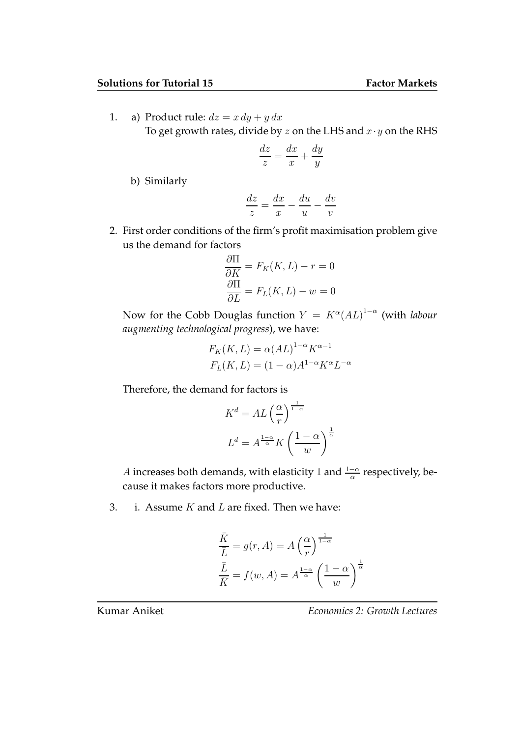1. a) Product rule:  $dz = x dy + y dx$ To get growth rates, divide by  $z$  on the LHS and  $x \cdot y$  on the RHS

$$
\frac{dz}{z} = \frac{dx}{x} + \frac{dy}{y}
$$

b) Similarly

$$
\frac{dz}{z}=\frac{dx}{x}-\frac{du}{u}-\frac{dv}{v}
$$

2. First order conditions of the firm's profit maximisation problem give us the demand for factors

$$
\frac{\partial \Pi}{\partial K} = F_K(K, L) - r = 0
$$

$$
\frac{\partial \Pi}{\partial L} = F_L(K, L) - w = 0
$$

Now for the Cobb Douglas function  $Y = K^{\alpha} (AL)^{1-\alpha}$  (with labour augmenting technological progress), we have:

$$
F_K(K, L) = \alpha (AL)^{1-\alpha} K^{\alpha - 1}
$$

$$
F_L(K, L) = (1 - \alpha) A^{1-\alpha} K^{\alpha} L^{-\alpha}
$$

Therefore, the demand for factors is

$$
K^{d} = AL\left(\frac{\alpha}{r}\right)^{\frac{1}{1-\alpha}}
$$

$$
L^{d} = A^{\frac{1-\alpha}{\alpha}} K\left(\frac{1-\alpha}{w}\right)^{\frac{1}{\alpha}}
$$

A increases both demands, with elasticity 1 and  $\frac{1-\alpha}{\alpha}$  respectively, because it makes factors more productive.

3. i. Assume  $K$  and  $L$  are fixed. Then we have:

$$
\frac{\overline{K}}{\overline{L}} = g(r, A) = A \left(\frac{\alpha}{r}\right)^{\frac{1}{1-\alpha}}
$$

$$
\frac{\overline{L}}{\overline{K}} = f(w, A) = A^{\frac{1-\alpha}{\alpha}} \left(\frac{1-\alpha}{w}\right)^{\frac{1}{\alpha}}
$$

## Kumar Aniket **Economics 2: Growth Lectures**